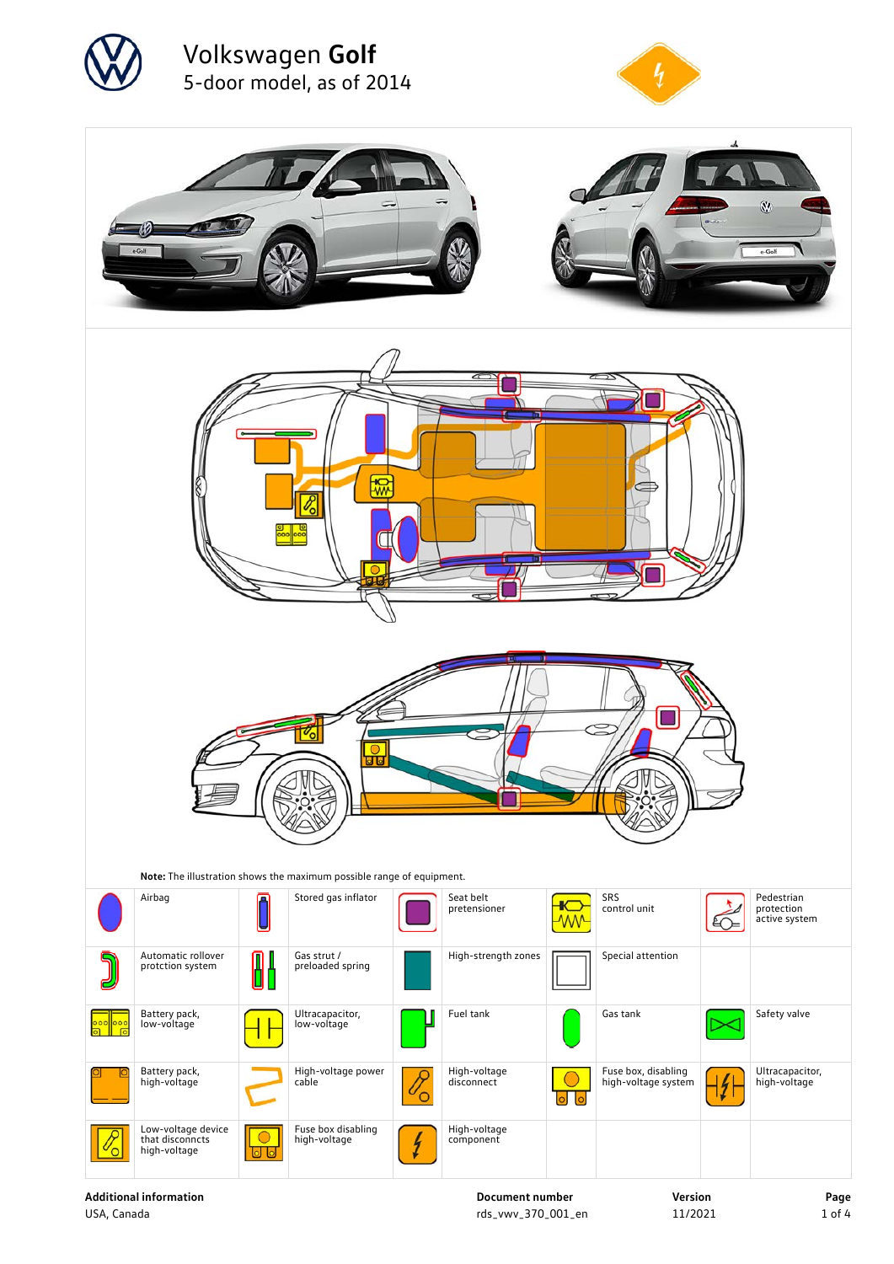





**Additional information** USA, Canada

**Document number** rds\_vwv\_370\_001\_en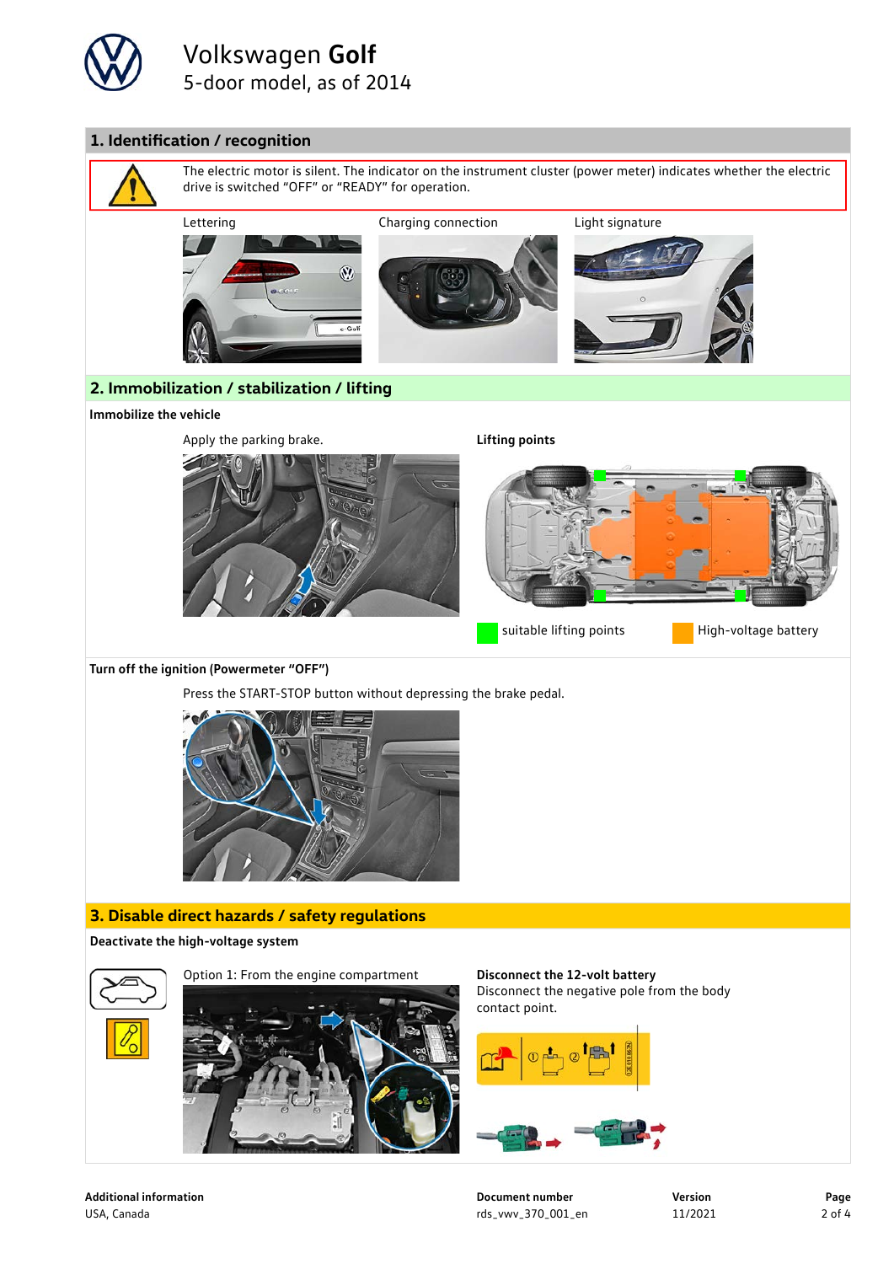

### **1. Identification / recognition**



**Additional information** USA, Canada

**Document number** rds\_vwv\_370\_001\_en **Version** 11/2021

**Page** 2 of 4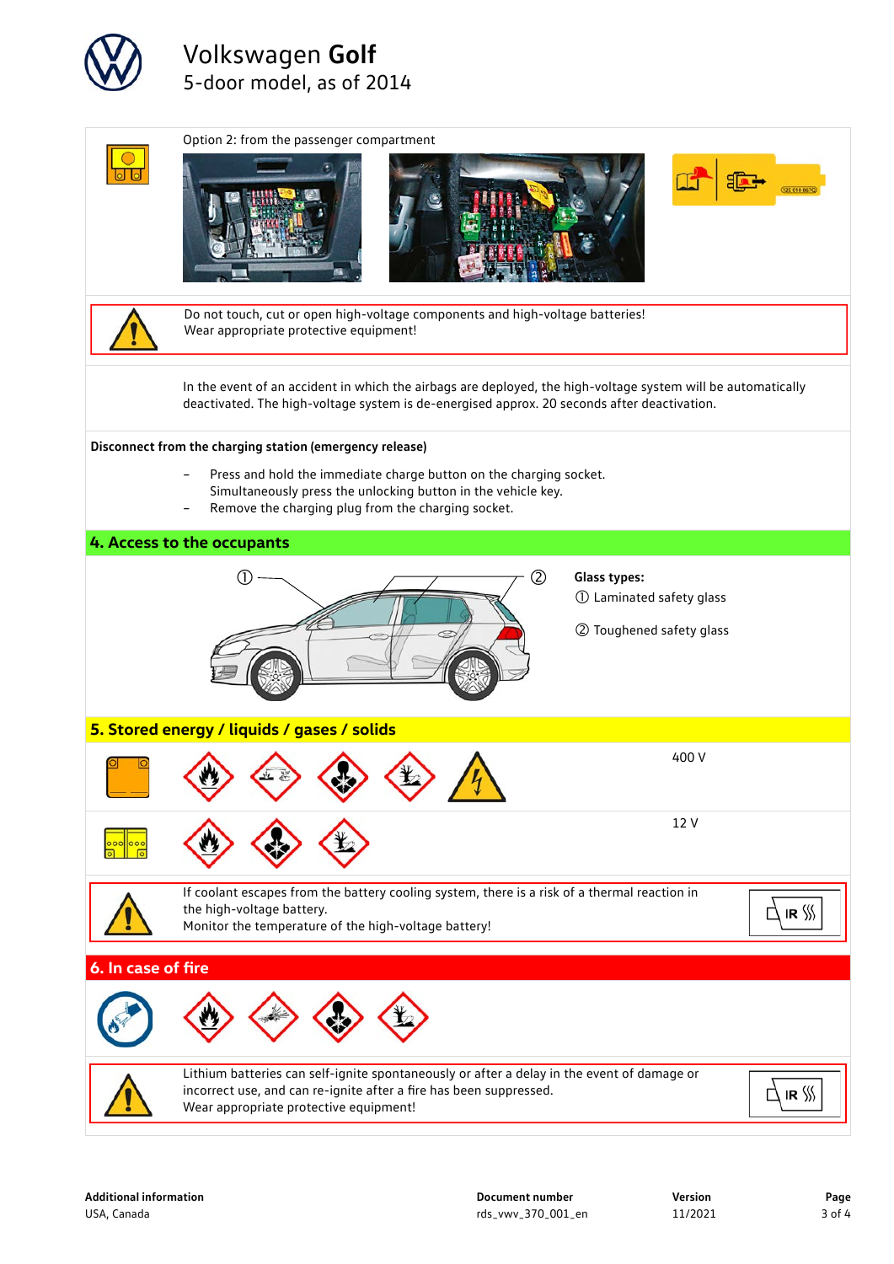![](_page_2_Picture_0.jpeg)

|                                                          | Option 2: from the passenger compartment<br>Do not touch, cut or open high-voltage components and high-voltage batteries!                                                                                   |                                                                             |  |  |  |  |  |  |
|----------------------------------------------------------|-------------------------------------------------------------------------------------------------------------------------------------------------------------------------------------------------------------|-----------------------------------------------------------------------------|--|--|--|--|--|--|
|                                                          | Wear appropriate protective equipment!                                                                                                                                                                      |                                                                             |  |  |  |  |  |  |
|                                                          | In the event of an accident in which the airbags are deployed, the high-voltage system will be automatically<br>deactivated. The high-voltage system is de-energised approx. 20 seconds after deactivation. |                                                                             |  |  |  |  |  |  |
| Disconnect from the charging station (emergency release) |                                                                                                                                                                                                             |                                                                             |  |  |  |  |  |  |
|                                                          | Press and hold the immediate charge button on the charging socket.<br>Simultaneously press the unlocking button in the vehicle key.<br>Remove the charging plug from the charging socket.                   |                                                                             |  |  |  |  |  |  |
|                                                          | 4. Access to the occupants                                                                                                                                                                                  |                                                                             |  |  |  |  |  |  |
|                                                          | ②                                                                                                                                                                                                           | <b>Glass types:</b><br>1 Laminated safety glass<br>2 Toughened safety glass |  |  |  |  |  |  |
|                                                          | 5. Stored energy / liquids / gases / solids                                                                                                                                                                 |                                                                             |  |  |  |  |  |  |
|                                                          |                                                                                                                                                                                                             | 400 V                                                                       |  |  |  |  |  |  |
|                                                          |                                                                                                                                                                                                             | 12 V                                                                        |  |  |  |  |  |  |
|                                                          | If coolant escapes from the battery cooling system, there is a risk of a thermal reaction in<br>the high-voltage battery.<br>Monitor the temperature of the high-voltage battery!                           | IR $\frac{1}{2}$                                                            |  |  |  |  |  |  |
| 6. In case of fire                                       |                                                                                                                                                                                                             |                                                                             |  |  |  |  |  |  |
|                                                          |                                                                                                                                                                                                             |                                                                             |  |  |  |  |  |  |
|                                                          | Lithium batteries can self-ignite spontaneously or after a delay in the event of damage or<br>incorrect use, and can re-ignite after a fire has been suppressed.<br>Wear appropriate protective equipment!  | $IR \frac{1}{2}$                                                            |  |  |  |  |  |  |